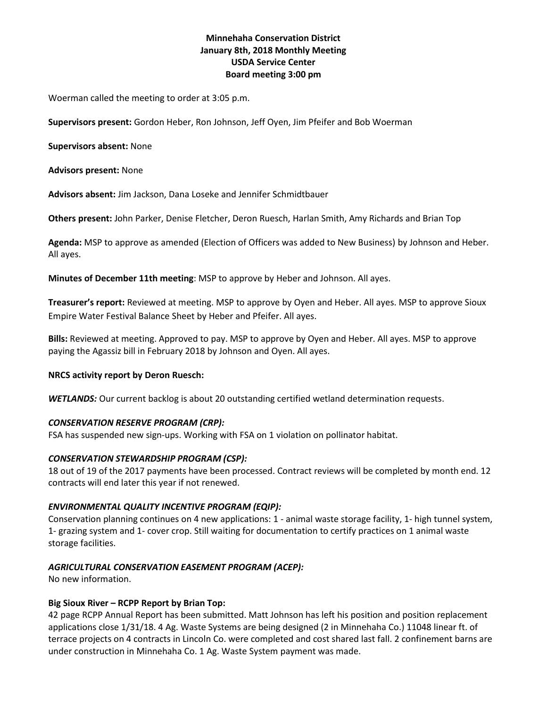## **Minnehaha Conservation District January 8th, 2018 Monthly Meeting USDA Service Center Board meeting 3:00 pm**

Woerman called the meeting to order at 3:05 p.m.

**Supervisors present:** Gordon Heber, Ron Johnson, Jeff Oyen, Jim Pfeifer and Bob Woerman

**Supervisors absent:** None

**Advisors present:** None

**Advisors absent:** Jim Jackson, Dana Loseke and Jennifer Schmidtbauer

**Others present:** John Parker, Denise Fletcher, Deron Ruesch, Harlan Smith, Amy Richards and Brian Top

**Agenda:** MSP to approve as amended (Election of Officers was added to New Business) by Johnson and Heber. All ayes.

**Minutes of December 11th meeting**: MSP to approve by Heber and Johnson. All ayes.

**Treasurer's report:** Reviewed at meeting. MSP to approve by Oyen and Heber. All ayes. MSP to approve Sioux Empire Water Festival Balance Sheet by Heber and Pfeifer. All ayes.

**Bills:** Reviewed at meeting. Approved to pay. MSP to approve by Oyen and Heber. All ayes. MSP to approve paying the Agassiz bill in February 2018 by Johnson and Oyen. All ayes.

## **NRCS activity report by Deron Ruesch:**

*WETLANDS:* Our current backlog is about 20 outstanding certified wetland determination requests.

## *CONSERVATION RESERVE PROGRAM (CRP):*

FSA has suspended new sign-ups. Working with FSA on 1 violation on pollinator habitat.

## *CONSERVATION STEWARDSHIP PROGRAM (CSP):*

18 out of 19 of the 2017 payments have been processed. Contract reviews will be completed by month end. 12 contracts will end later this year if not renewed.

## *ENVIRONMENTAL QUALITY INCENTIVE PROGRAM (EQIP):*

Conservation planning continues on 4 new applications: 1 - animal waste storage facility, 1- high tunnel system, 1- grazing system and 1- cover crop. Still waiting for documentation to certify practices on 1 animal waste storage facilities.

## *AGRICULTURAL CONSERVATION EASEMENT PROGRAM (ACEP):*

No new information.

## **Big Sioux River – RCPP Report by Brian Top:**

42 page RCPP Annual Report has been submitted. Matt Johnson has left his position and position replacement applications close 1/31/18. 4 Ag. Waste Systems are being designed (2 in Minnehaha Co.) 11048 linear ft. of terrace projects on 4 contracts in Lincoln Co. were completed and cost shared last fall. 2 confinement barns are under construction in Minnehaha Co. 1 Ag. Waste System payment was made.